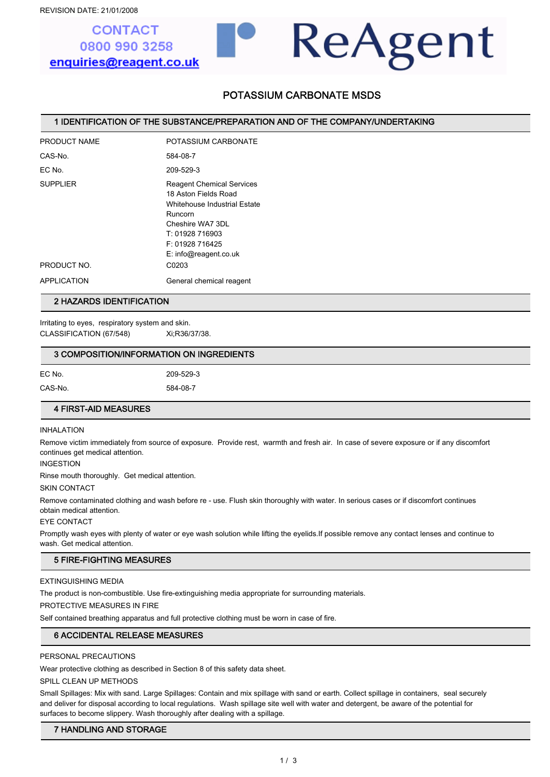# **CONTACT** 0800 990 3258 enquiries@reagent.co.uk

# POTASSIUM CARBONATE MSDS

ReAgent

#### 1 IDENTIFICATION OF THE SUBSTANCE/PREPARATION AND OF THE COMPANY/UNDERTAKING

| PRODUCT NAME    | POTASSIUM CARBONATE                                                                                                                                                                   |
|-----------------|---------------------------------------------------------------------------------------------------------------------------------------------------------------------------------------|
| CAS-No.         | 584-08-7                                                                                                                                                                              |
| FC No           | 209-529-3                                                                                                                                                                             |
| <b>SUPPLIER</b> | <b>Reagent Chemical Services</b><br>18 Aston Fields Road<br>Whitehouse Industrial Estate<br>Runcorn<br>Cheshire WA7 3DL<br>T: 01928 716903<br>F: 01928 716425<br>E: info@reader.co.uk |
| PRODUCT NO.     | C0203                                                                                                                                                                                 |
| APPLICATION     | General chemical reagent                                                                                                                                                              |

#### 2 HAZARDS IDENTIFICATION

Irritating to eyes, respiratory system and skin. CLASSIFICATION (67/548) Xi;R36/37/38.

#### 3 COMPOSITION/INFORMATION ON INGREDIENTS

| EC No.  | 209-529-3 |
|---------|-----------|
| CAS-No. | 584-08-7  |

#### 4 FIRST-AID MEASURES

#### INHALATION

Remove victim immediately from source of exposure. Provide rest, warmth and fresh air. In case of severe exposure or if any discomfort continues get medical attention.

INGESTION

Rinse mouth thoroughly. Get medical attention.

SKIN CONTACT

Remove contaminated clothing and wash before re - use. Flush skin thoroughly with water. In serious cases or if discomfort continues obtain medical attention.

EYE CONTACT

Promptly wash eyes with plenty of water or eye wash solution while lifting the eyelids.If possible remove any contact lenses and continue to wash. Get medical attention.

### 5 FIRE-FIGHTING MEASURES

EXTINGUISHING MEDIA

The product is non-combustible. Use fire-extinguishing media appropriate for surrounding materials.

PROTECTIVE MEASURES IN FIRE

Self contained breathing apparatus and full protective clothing must be worn in case of fire.

## 6 ACCIDENTAL RELEASE MEASURES

#### PERSONAL PRECAUTIONS

Wear protective clothing as described in Section 8 of this safety data sheet.

SPILL CLEAN UP METHODS

Small Spillages: Mix with sand. Large Spillages: Contain and mix spillage with sand or earth. Collect spillage in containers, seal securely and deliver for disposal according to local regulations. Wash spillage site well with water and detergent, be aware of the potential for surfaces to become slippery. Wash thoroughly after dealing with a spillage.

### 7 HANDLING AND STORAGE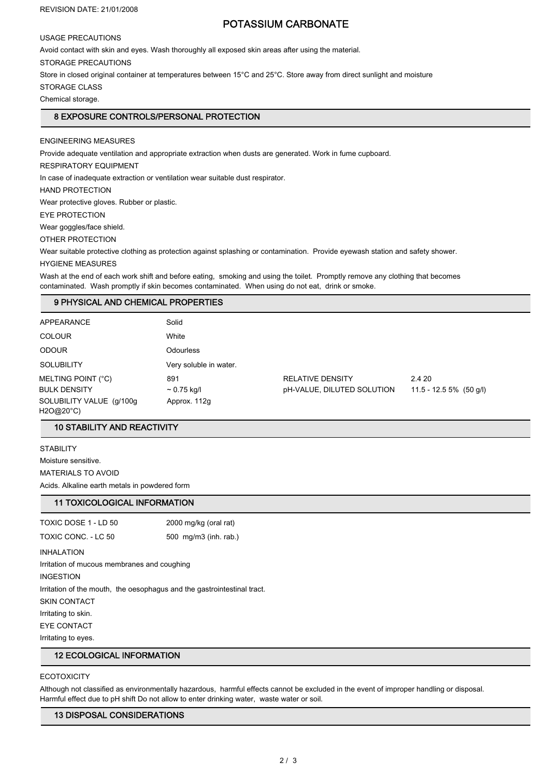#### REVISION DATE: 21/01/2008

## POTASSIUM CARBONATE

USAGE PRECAUTIONS

Avoid contact with skin and eyes. Wash thoroughly all exposed skin areas after using the material.

STORAGE PRECAUTIONS

Store in closed original container at temperatures between 15°C and 25°C. Store away from direct sunlight and moisture

STORAGE CLASS

Chemical storage.

## 8 EXPOSURE CONTROLS/PERSONAL PROTECTION

ENGINEERING MEASURES

Provide adequate ventilation and appropriate extraction when dusts are generated. Work in fume cupboard.

RESPIRATORY EQUIPMENT

In case of inadequate extraction or ventilation wear suitable dust respirator.

HAND PROTECTION

Wear protective gloves. Rubber or plastic.

EYE PROTECTION

Wear goggles/face shield.

OTHER PROTECTION

Wear suitable protective clothing as protection against splashing or contamination. Provide eyewash station and safety shower.

#### HYGIENE MEASURES

Wash at the end of each work shift and before eating, smoking and using the toilet. Promptly remove any clothing that becomes contaminated. Wash promptly if skin becomes contaminated. When using do not eat, drink or smoke.

### 9 PHYSICAL AND CHEMICAL PROPERTIES

| APPEARANCE                            | Solid                  |                            |                           |  |
|---------------------------------------|------------------------|----------------------------|---------------------------|--|
| <b>COLOUR</b>                         | White                  |                            |                           |  |
| <b>ODOUR</b>                          | <b>Odourless</b>       |                            |                           |  |
| <b>SOLUBILITY</b>                     | Very soluble in water. |                            |                           |  |
| MELTING POINT (°C)                    | 891                    | <b>RELATIVE DENSITY</b>    | 2.4 20                    |  |
| <b>BULK DENSITY</b>                   | $\sim 0.75$ kg/l       | pH-VALUE, DILUTED SOLUTION | $11.5 - 12.55\%$ (50 g/l) |  |
| SOLUBILITY VALUE (g/100g<br>H2O@20°C) | Approx. 112g           |                            |                           |  |

#### 10 STABILITY AND REACTIVITY

**STABILITY** Moisture sensitive. MATERIALS TO AVOID Acids. Alkaline earth metals in powdered form

## 11 TOXICOLOGICAL INFORMATION

TOXIC DOSE 1 - LD 50 2000 mg/kg (oral rat) TOXIC CONC. - LC 50 500 mg/m3 (inh. rab.) INHALATION Irritation of mucous membranes and coughing INGESTION Irritation of the mouth, the oesophagus and the gastrointestinal tract. SKIN CONTACT Irritating to skin. EYE CONTACT Irritating to eyes.

## 12 ECOLOGICAL INFORMATION

#### **ECOTOXICITY**

Although not classified as environmentally hazardous, harmful effects cannot be excluded in the event of improper handling or disposal. Harmful effect due to pH shift Do not allow to enter drinking water, waste water or soil.

## 13 DISPOSAL CONSIDERATIONS